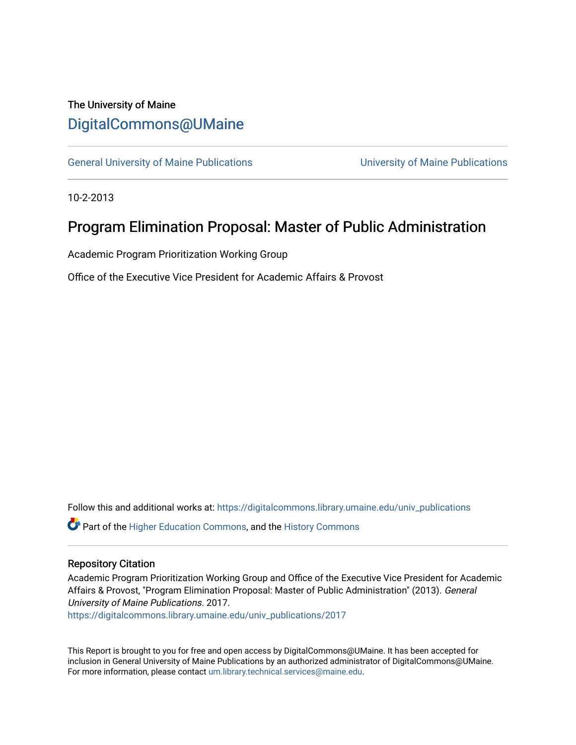## The University of Maine [DigitalCommons@UMaine](https://digitalcommons.library.umaine.edu/)

[General University of Maine Publications](https://digitalcommons.library.umaine.edu/univ_publications) [University of Maine Publications](https://digitalcommons.library.umaine.edu/umaine_publications) 

10-2-2013

# Program Elimination Proposal: Master of Public Administration

Academic Program Prioritization Working Group

Office of the Executive Vice President for Academic Affairs & Provost

Follow this and additional works at: [https://digitalcommons.library.umaine.edu/univ\\_publications](https://digitalcommons.library.umaine.edu/univ_publications?utm_source=digitalcommons.library.umaine.edu%2Funiv_publications%2F2017&utm_medium=PDF&utm_campaign=PDFCoverPages)  Part of the [Higher Education Commons,](http://network.bepress.com/hgg/discipline/1245?utm_source=digitalcommons.library.umaine.edu%2Funiv_publications%2F2017&utm_medium=PDF&utm_campaign=PDFCoverPages) and the [History Commons](http://network.bepress.com/hgg/discipline/489?utm_source=digitalcommons.library.umaine.edu%2Funiv_publications%2F2017&utm_medium=PDF&utm_campaign=PDFCoverPages)

#### Repository Citation

Academic Program Prioritization Working Group and Office of the Executive Vice President for Academic Affairs & Provost, "Program Elimination Proposal: Master of Public Administration" (2013). General University of Maine Publications. 2017.

[https://digitalcommons.library.umaine.edu/univ\\_publications/2017](https://digitalcommons.library.umaine.edu/univ_publications/2017?utm_source=digitalcommons.library.umaine.edu%2Funiv_publications%2F2017&utm_medium=PDF&utm_campaign=PDFCoverPages)

This Report is brought to you for free and open access by DigitalCommons@UMaine. It has been accepted for inclusion in General University of Maine Publications by an authorized administrator of DigitalCommons@UMaine. For more information, please contact [um.library.technical.services@maine.edu](mailto:um.library.technical.services@maine.edu).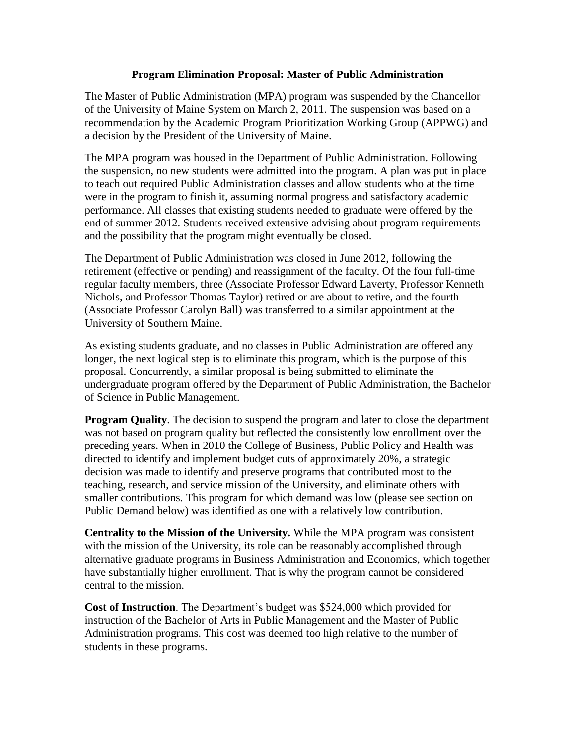#### **Program Elimination Proposal: Master of Public Administration**

The Master of Public Administration (MPA) program was suspended by the Chancellor of the University of Maine System on March 2, 2011. The suspension was based on a recommendation by the Academic Program Prioritization Working Group (APPWG) and a decision by the President of the University of Maine.

The MPA program was housed in the Department of Public Administration. Following the suspension, no new students were admitted into the program. A plan was put in place to teach out required Public Administration classes and allow students who at the time were in the program to finish it, assuming normal progress and satisfactory academic performance. All classes that existing students needed to graduate were offered by the end of summer 2012. Students received extensive advising about program requirements and the possibility that the program might eventually be closed.

The Department of Public Administration was closed in June 2012, following the retirement (effective or pending) and reassignment of the faculty. Of the four full-time regular faculty members, three (Associate Professor Edward Laverty, Professor Kenneth Nichols, and Professor Thomas Taylor) retired or are about to retire, and the fourth (Associate Professor Carolyn Ball) was transferred to a similar appointment at the University of Southern Maine.

As existing students graduate, and no classes in Public Administration are offered any longer, the next logical step is to eliminate this program, which is the purpose of this proposal. Concurrently, a similar proposal is being submitted to eliminate the undergraduate program offered by the Department of Public Administration, the Bachelor of Science in Public Management.

**Program Quality.** The decision to suspend the program and later to close the department was not based on program quality but reflected the consistently low enrollment over the preceding years. When in 2010 the College of Business, Public Policy and Health was directed to identify and implement budget cuts of approximately 20%, a strategic decision was made to identify and preserve programs that contributed most to the teaching, research, and service mission of the University, and eliminate others with smaller contributions. This program for which demand was low (please see section on Public Demand below) was identified as one with a relatively low contribution.

**Centrality to the Mission of the University.** While the MPA program was consistent with the mission of the University, its role can be reasonably accomplished through alternative graduate programs in Business Administration and Economics, which together have substantially higher enrollment. That is why the program cannot be considered central to the mission.

**Cost of Instruction**. The Department's budget was \$524,000 which provided for instruction of the Bachelor of Arts in Public Management and the Master of Public Administration programs. This cost was deemed too high relative to the number of students in these programs.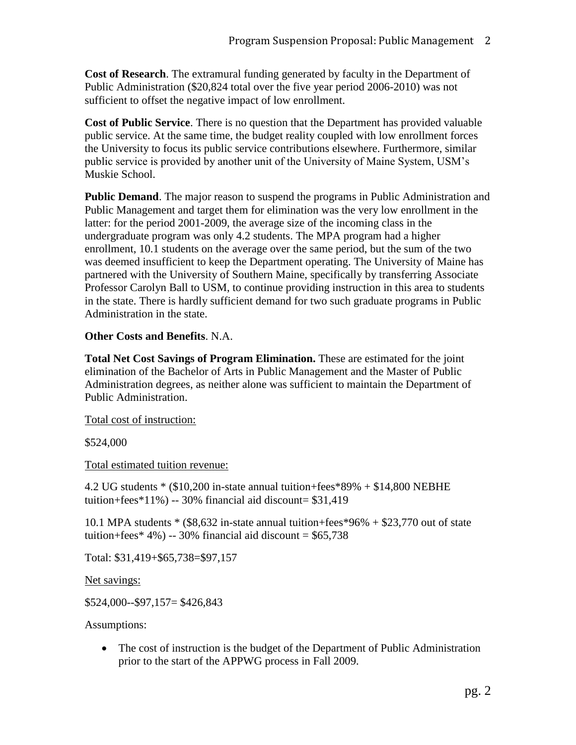**Cost of Research**. The extramural funding generated by faculty in the Department of Public Administration (\$20,824 total over the five year period 2006-2010) was not sufficient to offset the negative impact of low enrollment.

**Cost of Public Service**. There is no question that the Department has provided valuable public service. At the same time, the budget reality coupled with low enrollment forces the University to focus its public service contributions elsewhere. Furthermore, similar public service is provided by another unit of the University of Maine System, USM's Muskie School.

**Public Demand.** The major reason to suspend the programs in Public Administration and Public Management and target them for elimination was the very low enrollment in the latter: for the period 2001-2009, the average size of the incoming class in the undergraduate program was only 4.2 students. The MPA program had a higher enrollment, 10.1 students on the average over the same period, but the sum of the two was deemed insufficient to keep the Department operating. The University of Maine has partnered with the University of Southern Maine, specifically by transferring Associate Professor Carolyn Ball to USM, to continue providing instruction in this area to students in the state. There is hardly sufficient demand for two such graduate programs in Public Administration in the state.

#### **Other Costs and Benefits**. N.A.

**Total Net Cost Savings of Program Elimination.** These are estimated for the joint elimination of the Bachelor of Arts in Public Management and the Master of Public Administration degrees, as neither alone was sufficient to maintain the Department of Public Administration.

Total cost of instruction:

\$524,000

Total estimated tuition revenue:

4.2 UG students \* (\$10,200 in-state annual tuition+fees\*89% + \$14,800 NEBHE tuition+fees $*11\%$ ) -- 30% financial aid discount= \$31,419

10.1 MPA students \* (\$8,632 in-state annual tuition+fees\*96% + \$23,770 out of state tuition+fees\* 4%) -- 30% financial aid discount =  $$65,738$ 

Total: \$31,419+\$65,738=\$97,157

Net savings:

\$524,000--\$97,157= \$426,843

Assumptions:

• The cost of instruction is the budget of the Department of Public Administration prior to the start of the APPWG process in Fall 2009.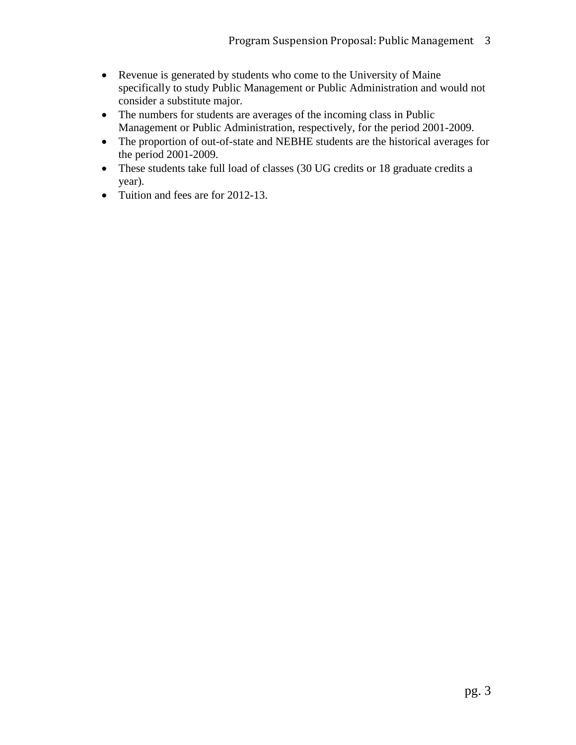- Revenue is generated by students who come to the University of Maine specifically to study Public Management or Public Administration and would not consider a substitute major.
- The numbers for students are averages of the incoming class in Public Management or Public Administration, respectively, for the period 2001-2009.
- The proportion of out-of-state and NEBHE students are the historical averages for the period 2001-2009.
- These students take full load of classes (30 UG credits or 18 graduate credits a year).
- Tuition and fees are for 2012-13.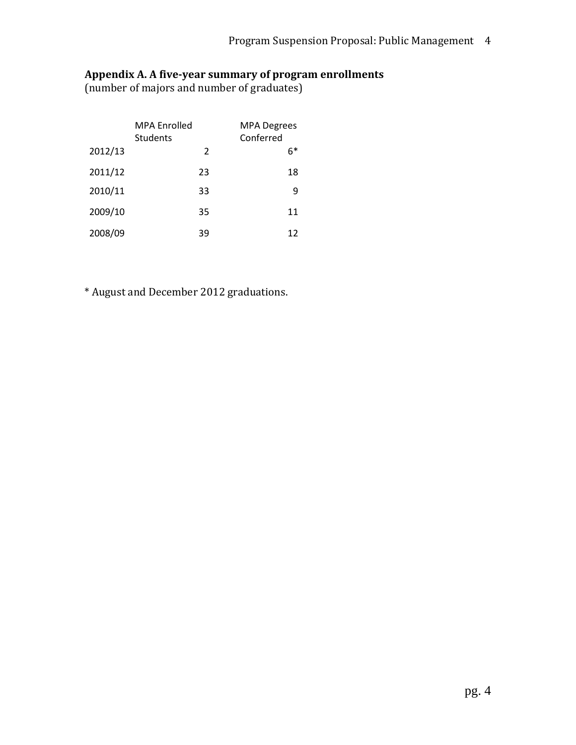## **Appendix A. A five-year summary of program enrollments**

(number of majors and number of graduates)

|         | <b>MPA Enrolled</b><br>Students |    | <b>MPA Degrees</b><br>Conferred |
|---------|---------------------------------|----|---------------------------------|
| 2012/13 |                                 | 2  | 6*                              |
| 2011/12 |                                 | 23 | 18                              |
| 2010/11 |                                 | 33 | q                               |
| 2009/10 |                                 | 35 | 11                              |
| 2008/09 |                                 | 39 | 12                              |

\* August and December 2012 graduations.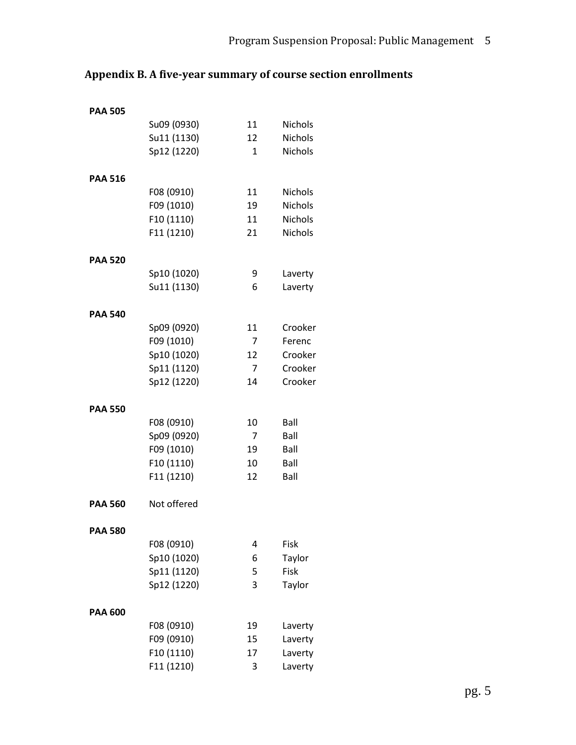# **Appendix B. A five-year summary of course section enrollments**

| <b>PAA 505</b> |             |                |                |
|----------------|-------------|----------------|----------------|
|                | Su09 (0930) | 11             | <b>Nichols</b> |
|                | Su11 (1130) | 12             | <b>Nichols</b> |
|                | Sp12 (1220) | 1              | <b>Nichols</b> |
| <b>PAA 516</b> |             |                |                |
|                | F08 (0910)  | 11             | <b>Nichols</b> |
|                | F09 (1010)  | 19             | <b>Nichols</b> |
|                | F10 (1110)  | 11             | Nichols        |
|                | F11 (1210)  | 21             | <b>Nichols</b> |
| <b>PAA 520</b> |             |                |                |
|                | Sp10 (1020) | 9              | Laverty        |
|                | Su11 (1130) | 6              | Laverty        |
| <b>PAA 540</b> |             |                |                |
|                | Sp09 (0920) | 11             | Crooker        |
|                | F09 (1010)  | $\overline{7}$ | Ferenc         |
|                | Sp10 (1020) | 12             | Crooker        |
|                | Sp11 (1120) | $\overline{7}$ | Crooker        |
|                | Sp12 (1220) | 14             | Crooker        |
| <b>PAA 550</b> |             |                |                |
|                | F08 (0910)  | 10             | Ball           |
|                | Sp09 (0920) | 7              | Ball           |
|                | F09 (1010)  | 19             | Ball           |
|                | F10 (1110)  | 10             | Ball           |
|                | F11 (1210)  | 12             | Ball           |
| <b>PAA 560</b> | Not offered |                |                |
| <b>PAA 580</b> |             |                |                |
|                | F08 (0910)  | 4              | Fisk           |
|                | Sp10 (1020) | 6              | Taylor         |
|                | Sp11 (1120) | 5              | Fisk           |
|                | Sp12 (1220) | 3              | Taylor         |
| <b>PAA 600</b> |             |                |                |
|                | F08 (0910)  | 19             | Laverty        |
|                | F09 (0910)  | 15             | Laverty        |
|                | F10 (1110)  | 17             | Laverty        |
|                | F11 (1210)  | 3              | Laverty        |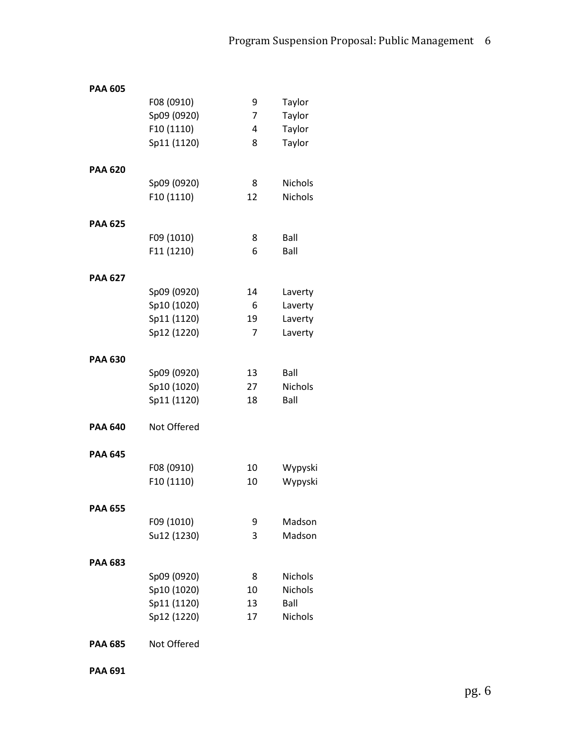| <b>PAA 605</b> |             |                |                |
|----------------|-------------|----------------|----------------|
|                | F08 (0910)  | 9              | Taylor         |
|                | Sp09 (0920) | $\overline{7}$ | Taylor         |
|                | F10 (1110)  | 4              | Taylor         |
|                | Sp11 (1120) | 8              | Taylor         |
|                |             |                |                |
| <b>PAA 620</b> |             |                |                |
|                | Sp09 (0920) | 8              | <b>Nichols</b> |
|                | F10 (1110)  | 12             | <b>Nichols</b> |
|                |             |                |                |
| <b>PAA 625</b> |             |                |                |
|                | F09 (1010)  | 8              | Ball           |
|                | F11 (1210)  | 6              | Ball           |
|                |             |                |                |
| <b>PAA 627</b> |             |                |                |
|                | Sp09 (0920) | 14             | Laverty        |
|                | Sp10 (1020) | 6              | Laverty        |
|                | Sp11 (1120) | 19             | Laverty        |
|                | Sp12 (1220) | 7              | Laverty        |
|                |             |                |                |
| <b>PAA 630</b> |             |                |                |
|                | Sp09 (0920) | 13             | Ball           |
|                | Sp10 (1020) | 27             | <b>Nichols</b> |
|                | Sp11 (1120) | 18             | Ball           |
|                |             |                |                |
| <b>PAA 640</b> | Not Offered |                |                |
|                |             |                |                |
| <b>PAA 645</b> |             |                |                |
|                | F08 (0910)  | 10             | Wypyski        |
|                | F10 (1110)  | 10             | Wypyski        |
|                |             |                |                |
| <b>PAA 655</b> |             |                |                |
|                | F09 (1010)  | 9              | Madson         |
|                | Su12 (1230) | 3              | Madson         |
|                |             |                |                |
| <b>PAA 683</b> |             |                |                |
|                | Sp09 (0920) | 8              | <b>Nichols</b> |
|                | Sp10 (1020) | 10             | <b>Nichols</b> |
|                | Sp11 (1120) | 13             | Ball           |
|                | Sp12 (1220) | 17             | <b>Nichols</b> |
|                |             |                |                |
| <b>PAA 685</b> | Not Offered |                |                |
|                |             |                |                |

**PAA 691**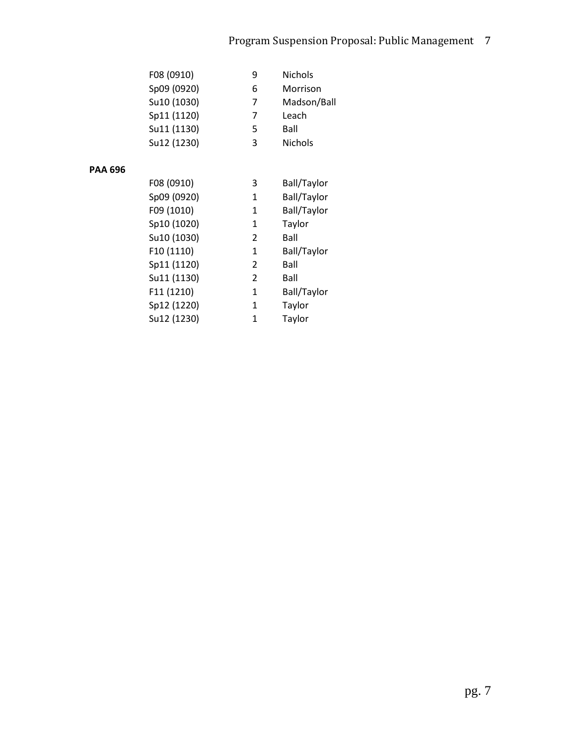#### Program Suspension Proposal: Public Management 7

|                | F08 (0910)  | 9 | <b>Nichols</b>     |
|----------------|-------------|---|--------------------|
|                | Sp09 (0920) | 6 | Morrison           |
|                | Su10 (1030) | 7 | Madson/Ball        |
|                | Sp11 (1120) | 7 | Leach              |
|                | Su11 (1130) | 5 | Ball               |
|                | Su12 (1230) | 3 | <b>Nichols</b>     |
| <b>PAA 696</b> |             |   |                    |
|                | F08 (0910)  | 3 | Ball/Taylor        |
|                | Sp09 (0920) | 1 | Ball/Taylor        |
|                | F09 (1010)  | 1 | Ball/Taylor        |
|                | Sp10 (1020) | 1 | Taylor             |
|                | Su10 (1030) | 2 | Ball               |
|                | F10 (1110)  | 1 | Ball/Taylor        |
|                | Sp11 (1120) | 2 | Ball               |
|                | Su11 (1130) | 2 | Ball               |
|                | F11 (1210)  | 1 | <b>Ball/Taylor</b> |
|                | Sp12 (1220) | 1 | Taylor             |
|                | Su12 (1230) | 1 | Taylor             |
|                |             |   |                    |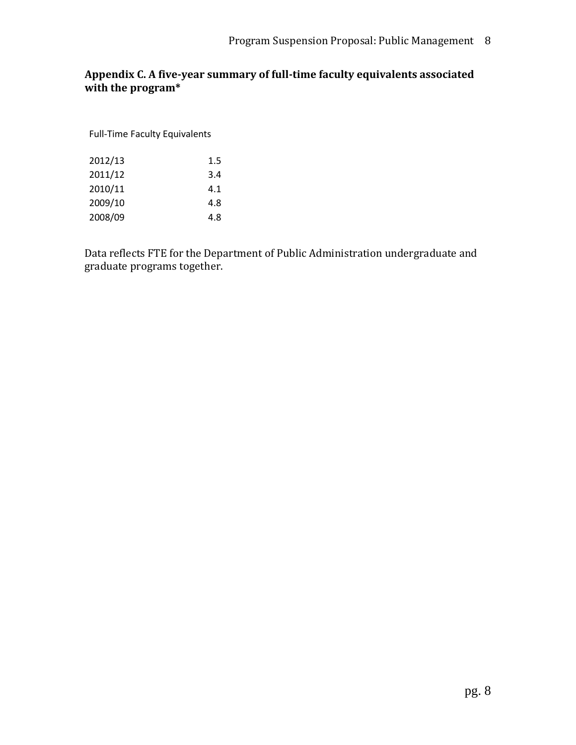### **Appendix C. A five-year summary of full-time faculty equivalents associated with the program\***

Full-Time Faculty Equivalents

| 2012/13 | 1.5 |
|---------|-----|
| 2011/12 | 3.4 |
| 2010/11 | 4.1 |
| 2009/10 | 4.8 |
| 2008/09 | 4.8 |

Data reflects FTE for the Department of Public Administration undergraduate and graduate programs together.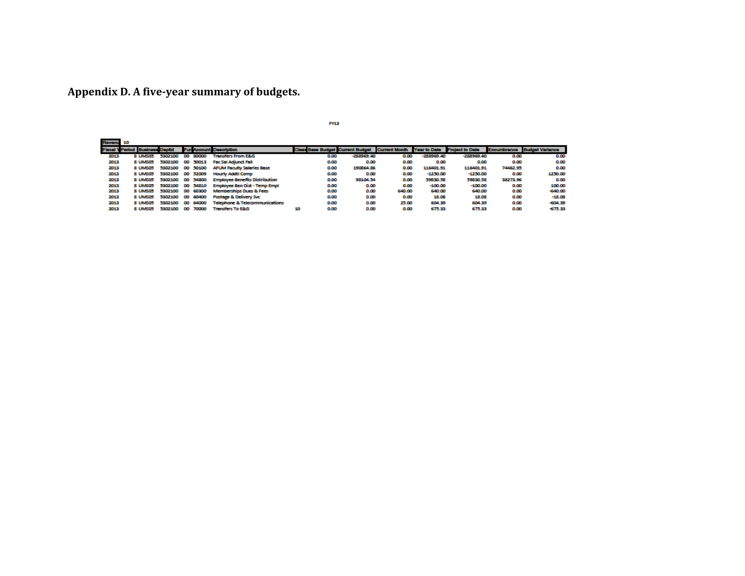# **Appendix D. A five-year summary of budgets.**

**FY13** 

| Revenu | 10                     |                  |           |       |                                           |                                                                             |              |        |              |              |          |                             |
|--------|------------------------|------------------|-----------|-------|-------------------------------------------|-----------------------------------------------------------------------------|--------------|--------|--------------|--------------|----------|-----------------------------|
|        | Period Business Deptid |                  |           |       | <b>Fur Account Description</b>            | Class Base Budget Current Budget Current Month Year to Date Project to Date |              |        |              |              |          | Encumbrance Budget Variance |
| 2013   | 8 UMS05                | 3302100          | $\bf{O}$  | 80000 | <b>Transfers From E&amp;G</b>             | 0.00                                                                        | $-288969.40$ | 0.00   | $-288969.40$ | $-288969.40$ | 0.00     | 0.00                        |
| 2013   | 8 UMS05                | 5302100 00 50013 |           |       | <b>Fac Sal Adjunct Fall</b>               | 0.00                                                                        | 0.00         | 0.00   | 0.00         | 0.00         | 0.00     | 0.00                        |
| 2013   | 8 UMS05                | 5302100 00 50100 |           |       | <b>AFUM Faculty Salaries Base</b>         | 0.00                                                                        | 190864.86    | 0.00   | 116401.91    | 116401.91    | 74462.95 | 0.00                        |
| 2013   | 8 UMS05                | 5302100 00 52009 |           |       | <b>Hourly Addtl Comp</b>                  | 0.00                                                                        | 0.00         | 0.00   | $-12,0.00$   | $-1230.00$   | 0.00     | 1250.00                     |
| 2013   | <b>8 UMS05</b>         | 3302100 00 54800 |           |       | <b>Employee Benefits Distribution</b>     | 0.00                                                                        | 98104.54     | 0.00   | 39830.38     | 59830.58     | 38273.96 | 0.00                        |
| 2013   | 8 UMS05                | 5302100 00 54810 |           |       | <b>Employee Ben Dist - Temp Empl</b>      | 0.00                                                                        | 0.00         | 0.00   | $-100.00$    | $-100.00$    | 0.00     | 100.00                      |
| 2013   | <b>8 UMS05</b>         | 5302100 00 60300 |           |       | <b>Memberships Dues &amp; Fees</b>        | 0.00                                                                        | 0.00         | 640.00 | 640.00       | 640.00       | 0.00     | $-640.00$                   |
| 2013   | 8 UMS05                | 5302100 00 60400 |           |       | Postage & Delivery Svc                    | 0.00                                                                        | 0.00         | 0.00   | 18.08        | 18.08        | 0.00     | $-18.08$                    |
| 2013   | 8 UMS05                | 3302100 00       |           | 64000 | <b>Telephone &amp; Telecommunications</b> | 0.00                                                                        | 0.00         | 25.00  | 604.39       | 604.39       | 0.00     | $-604.39$                   |
| 2013   | <b>8 UMS05</b>         | 5302100          | $\bf{oo}$ | 70000 | <b>Transfers To E&amp;G</b>               | 0.00<br>10                                                                  | 0.00         | 0.00   | 675.33       | 675.33       | 0.00     | $-675.33$                   |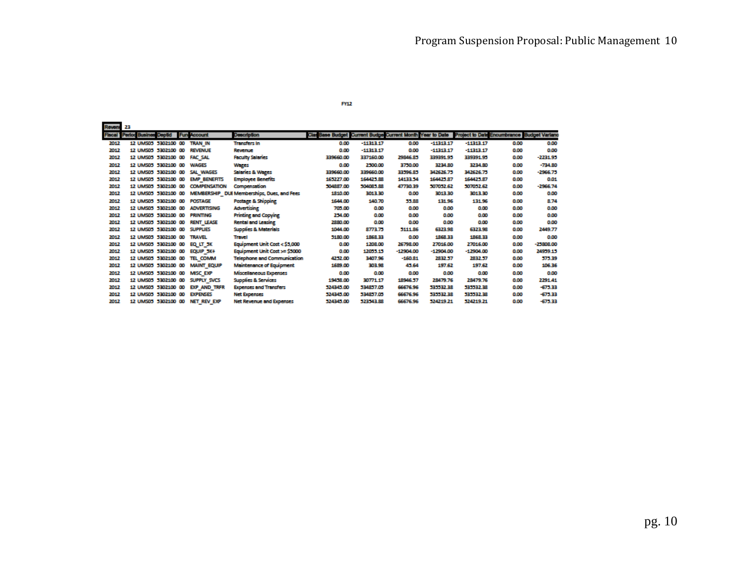| <b>FY12</b> |  |  |
|-------------|--|--|

| Roveni 23 |                                          |  |                                  |                                                               |                                                                                                     |             |             |             |             |      |             |
|-----------|------------------------------------------|--|----------------------------------|---------------------------------------------------------------|-----------------------------------------------------------------------------------------------------|-------------|-------------|-------------|-------------|------|-------------|
|           | Fiscal Period Busines Deptid Fun Account |  |                                  | <b>Description</b>                                            | ClasBase Budget Current Budge Current Month Year to Date Project to Date Encumbrance Budget Varianc |             |             |             |             |      |             |
| 2012      | 12 UMS05 5302100 00 TRAN IN              |  |                                  | <b>Transfers In</b>                                           | 0.00                                                                                                | $-11313.17$ | 0.00        | $-11313.17$ | $-11313.17$ | 0.00 | 0.00        |
| 2012      | 12 UMS05 5302100 00 REVENUE              |  |                                  | Revenue                                                       | 0.00                                                                                                | $-11313.17$ | 0.00        | $-11313.17$ | $-11313.17$ | 0.00 | 0.00        |
| 2012      | 12 UMS05 5302100 00 FAC SAL              |  |                                  | <b>Faculty Salaries</b>                                       | 339660.00                                                                                           | 337160.00   | 29846.85    | 339391.95   | 339391.95   | 0.00 | $-2231.95$  |
| 2012      | 12 UMS05 5302100 00 WAGES                |  |                                  | Wegges                                                        | 0.00                                                                                                | 2500.00     | 3750.00     | 3234.80     | 3234.80     | 0.00 | $-734.80$   |
| 2012      |                                          |  | 12 UMS05 5302100 00 SAL WAGES    | <b>Salaries &amp; Wages</b>                                   | 339660.00                                                                                           | 339660.00   | 33596.85    | 342626.75   | 342626.75   | 0.00 | $-2966.73$  |
| 2012      |                                          |  | 12 UMS05 5302100 00 EMP BENEFITS | <b>Employee Benefits</b>                                      | 165227.00                                                                                           | 164423.88   | 14133.54    | 164425.87   | 164425.87   | 0.00 | 0.01        |
| 2012      |                                          |  | 12 UMS05 5302100 00 COMPENSATION | Compensation                                                  | 504887.00                                                                                           | 504085.88   | 47730.39    | 307052.62   | 307052.62   | 0.00 | $-2966.74$  |
| 2012      |                                          |  |                                  | 12 UMS05 5302100 00 MEMBERSHIP DUEMemberships, Dues, and Fees | 1810.00                                                                                             | 3013.30     | 0.00        | 3013.30     | 3013.30     | 0.00 | 0.00        |
| 2012      | 12 UMS05 5302100 00 POSTAGE              |  |                                  | <b>Postage &amp; Shipping</b>                                 | 1544.00                                                                                             | 140.70      | 55.88       | 131.96      | 131.96      | 0.00 | 8.74        |
| 2012      |                                          |  | 12 UMS05 5302100 00 ADVERTISING  | <b>Advertising</b>                                            | 705.00                                                                                              | 0.00        | 0.00        | 0.00        | 0.00        | 0.00 | 0.00        |
| 2012      | 12 UMS05 5302100 00 PRINTING             |  |                                  | <b>Printing and Copying</b>                                   | 254.00                                                                                              | 0.00        | 0.00        | 0.00        | 0.00        | 0.00 | 0.00        |
| 2012      |                                          |  | 12 UMS05 5302100 00 RENT LEASE   | <b>Rental and Leasing</b>                                     | 2890.00                                                                                             | 0.00        | 0.00        | 0.00        | 0.00        | 0.00 | 0.00        |
| 2012      | 12 UMS05 5302100 00 SUPPLIES             |  |                                  | <b>Supplies &amp; Materials</b>                               | 1044.00                                                                                             | 8773.75     | 5111.86     | 6323.98     | 6323.98     | 0.00 | 2449.77     |
| 2012      | 12 UMS05 5302100 00 TRAVEL               |  |                                  | Travel                                                        | 5180.00                                                                                             | 1868.33     | 0.00        | 1868.33     | 1868.33     | 0.00 | 0.00        |
| 2012      |                                          |  | 12 UMS05 5302100 00 EQ LT 5K     | Equipment Unit Cost < \$3,000                                 | 0.00                                                                                                | 1208.00     | 26798.00    | 27016.00    | 27016.00    | 0.00 | $-25808.00$ |
| 2012      |                                          |  | 12 UMS05 5302100 00 EQUIP 5K+    | Equipment Unit Cost >= \$5000                                 | 0.00                                                                                                | 12033.15    | $-12904.00$ | -12904.00   | -12904.00   | 0.00 | 24959.15    |
| 2012      |                                          |  | 12 UMS05 5302100 00 TEL COMM     | <b>Telephone and Communication</b>                            | 4252.00                                                                                             | 3407.96     | $-160.81$   | 2832.57     | 2832.57     | 0.00 | 575.39      |
| 2012      |                                          |  | 12 UMS05 5302100 00 MAINT EQUIP  | <b>Maintenance of Equipment</b>                               | 1689.00                                                                                             | 303.98      | 41.64       | 197.62      | 197.62      | 0.00 | 106.36      |
| 2012      |                                          |  | 12 UMS05 5302100 00 MISC EXP     | Miscellaneous Expenses                                        | 0.00                                                                                                | 0.00        | 0.00        | 0.00        | 0.00        | 0.00 | 0.00        |
| 2012      |                                          |  | 12 UMS05 5302100 00 SUPPLY SVCS  | <b>Supplies &amp; Services</b>                                | 19438.00                                                                                            | 30771.17    | 18946.57    | 28479.76    | 28479.76    | 0.00 | 2291.41     |
| 2012      |                                          |  | 12 UMS05 5302100 00 EXP AND TRFR | <b>Expenses and Transfers</b>                                 | 524345.00                                                                                           | 534857.05   | 66676.96    | 335532.38   | 335532.38   | 0.00 | $-675.33$   |
| 2012      |                                          |  | 12 UMS05 5302100 00 EXPENSES     | <b>Net Expenses</b>                                           | 524345.00                                                                                           | 534857.05   | 66676.96    | 335532.38   | 535532.38   | 0.00 | $-675.33$   |
| 2012      |                                          |  | 12 UMS05 5302100 00 NET REV EXP  | <b>Net Revenue and Expenses</b>                               | 524345.00                                                                                           | 523543.88   | 66676.96    | 524219.21   | 524219.21   | 0.00 | $-675.33$   |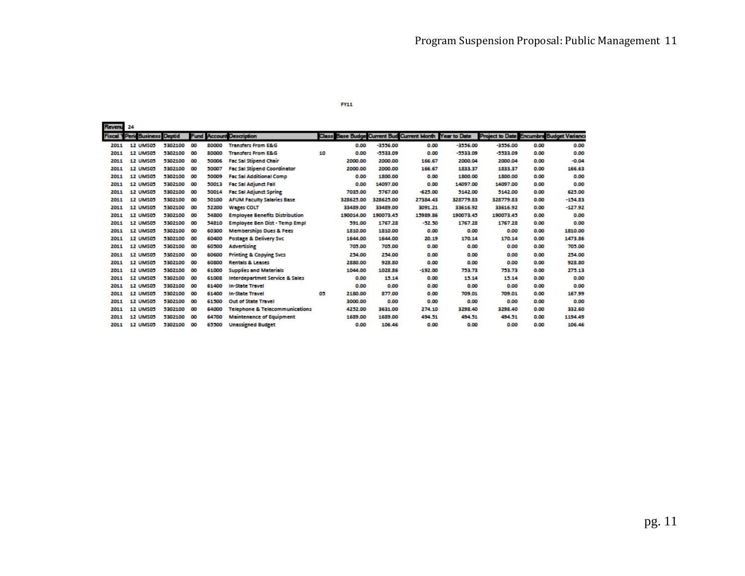|--|--|--|--|--|--|

.

| <b>Nevenu</b> 24 |                                       |         |          |       |                                           |    |           |            |                                                         |            |                                                 |      |           |
|------------------|---------------------------------------|---------|----------|-------|-------------------------------------------|----|-----------|------------|---------------------------------------------------------|------------|-------------------------------------------------|------|-----------|
|                  | <b>Fiscal Y Perio Business Deptid</b> |         |          |       | <b>Fund Account Description</b>           |    |           |            | Class Base Budge Current Bud Current Month Year to Date |            | <b>Project to Date Encumbre Budget Variance</b> |      |           |
| 2011             | <b>12 UMS05</b>                       | 5302100 | œ        | 80000 | <b>Transfers From E&amp;G</b>             |    | 0.00      | -3356.00   | 0.00                                                    | $-3556.00$ | $-3336.00$                                      | 0.00 | 0.00      |
| 2011             | <b>12 UMS05</b>                       | 5302100 | œ        | 80000 | <b>Transfers From E&amp;G</b>             | 10 | 0.00      | $-3333.09$ | 0.00                                                    | $-5533.09$ | $-3333.09$                                      | 0.00 | 0.00      |
| 2011             | <b>12 UMS05</b>                       | 5302100 | œ        | 50006 | <b>Fac Sal Stipend Chair</b>              |    | 2000.00   | 2000.00    | 166.67                                                  | 2000.04    | 2000.04                                         | 0.00 | $-0.04$   |
| 2011             | <b>12 UMS05</b>                       | 5302100 | œ        | 50007 | <b>Fac Sal Stipend Coordinator</b>        |    | 2000.00   | 2000.00    | 166.67                                                  | 1833.37    | 1833.37                                         | 0.00 | 166.63    |
| 2011             | <b>12 UMS05</b>                       | 5302100 | œ        | 50009 | <b>Fac Sal Additional Comp</b>            |    | 0.00      | 1800.00    | 0.00                                                    | 1800.00    | 1800.00                                         | 0.00 | 0.00      |
| 2011             | <b>12 UMS05</b>                       | 5302100 | œ        | 50013 | <b>Fac Sal Adjunct Fall</b>               |    | 0.00      | 14097.00   | 0.00                                                    | 14097.00   | 14097.00                                        | 0.00 | 0.00      |
| 2011             | <b>12 UMS05</b>                       | 5302100 | œ        | 50014 | <b>Fac Sal Adjunct Spring</b>             |    | 7035.00   | 5767.00    | $-625.00$                                               | 5142.00    | 5142.00                                         | 0.00 | 625.00    |
| 2011             | <b>12 UMS05</b>                       | 5302100 | $\infty$ | 50100 | <b>AFUM Faculty Salaries Base</b>         |    | 328625.00 | 328625.00  | 27384.43                                                | 328779.83  | 328779.83                                       | 0.00 | $-154.83$ |
| 2011             | <b>12 UMS05</b>                       | 5302100 | œ        | 52200 | <b>Wages COLT</b>                         |    | 33489.00  | 33489.00   | 3091.21                                                 | 33616.92   | 33616.92                                        | 0.00 | $-127.92$ |
| 2011             | <b>12 UMS05</b>                       | 5302100 | œ        | 54800 | <b>Employee Benefits Distribution</b>     |    | 190014.00 | 190073.45  | 13989.86                                                | 190073.45  | 190073.45                                       | 0.00 | 0.00      |
| 2011             | <b>12 UMS05</b>                       | 5302100 | œ        | 54810 | <b>Employee Ben Dist - Temp Empl</b>      |    | 591.00    | 1767.28    | $-52.50$                                                | 1767.28    | 1767.28                                         | 0.00 | 0.00      |
| 2011             | <b>12 UMS05</b>                       | 5302100 | œ        | 60300 | <b>Memberships Dues &amp; Fees</b>        |    | 1810.00   | 1810.00    | 0.00                                                    | 0.00       | 0.00                                            | 0.00 | 1810.00   |
| 2011             | <b>12 UMS05</b>                       | 5302100 | $\infty$ | 60400 | <b>Postage &amp; Delivery Svc</b>         |    | 1644.00   | 1644.00    | 20.19                                                   | 170.14     | 170.14                                          | 0.00 | 1473.86   |
| 2011             | <b>12 UMS05</b>                       | 5302100 | œ        | 60500 | <b>Advertising</b>                        |    | 705.00    | 705.00     | 0.00                                                    | 0.00       | 0.00                                            | 0.00 | 705.00    |
| 2011             | <b>12 UMS05</b>                       | 5302100 | $\infty$ | 60600 | <b>Printing &amp; Copying Sycs</b>        |    | 254.00    | 254.00     | 0.00                                                    | 0.00       | 0.00                                            | 0.00 | 254.00    |
| 2011             | <b>12 UMS05</b>                       | 5302100 | œ        | 60800 | <b>Rentals &amp; Leases</b>               |    | 2880.00   | 928.80     | 0.00                                                    | 0.00       | 0.00                                            | 0.00 | 928.80    |
| 2011             | <b>12 UMS05</b>                       | 5302100 | $\infty$ | 61000 | <b>Supplies and Materials</b>             |    | 1044.00   | 1028.86    | $-192.00$                                               | 753.73     | 733.73                                          | 0.00 | 275.13    |
| 2011             | <b>12 UMS05</b>                       | 5302100 | œ        | 61008 | <b>Interdepartmnt Service &amp; Sales</b> |    | 0.00      | 15.14      | 0.00                                                    | 15.14      | 15.14                                           | 0.00 | 0.00      |
| 2011             | <b>12 UMS05</b>                       | 5302100 | œ        | 61400 | In-State Travel                           |    | 0.00      | 0.00       | 0.00                                                    | 0.00       | 0.00                                            | 0.00 | 0.00      |
| 2011             | <b>12 UMS05</b>                       | 5302100 | œ        | 61400 | In-State Travel                           | 05 | 2180.00   | 877.00     | 0.00                                                    | 709.01     | 709.01                                          | 0.00 | 167.99    |
| 2011             | <b>12 UMS05</b>                       | 5302100 | œ        | 61500 | <b>Out of State Travel</b>                |    | 3000.00   | 0.00       | 0.00                                                    | 0.00       | 0.00                                            | 0.00 | 0.00      |
| 2011             | <b>12 UMS05</b>                       | 5302100 | œ        | 64000 | <b>Telephone &amp; Telecommunications</b> |    | 4252.00   | 3631.00    | 274.10                                                  | 3298.40    | 3298.40                                         | 0.00 | 332.60    |
| 2011             | <b>12 UMS05</b>                       | 5302100 | œ        | 64700 | <b>Maintenance of Equipment</b>           |    | 1689.00   | 1689.00    | 494.31                                                  | 494.51     | 494.51                                          | 0.00 | 1194.49   |
| 2011             | <b>12 UMS05</b>                       | 5302100 | œ        | 65500 | <b>Unassigned Budget</b>                  |    | 0.00      | 106.46     | 0.00                                                    | 0.00       | 0.00                                            | 0.00 | 106.46    |
|                  |                                       |         |          |       |                                           |    |           |            |                                                         |            |                                                 |      |           |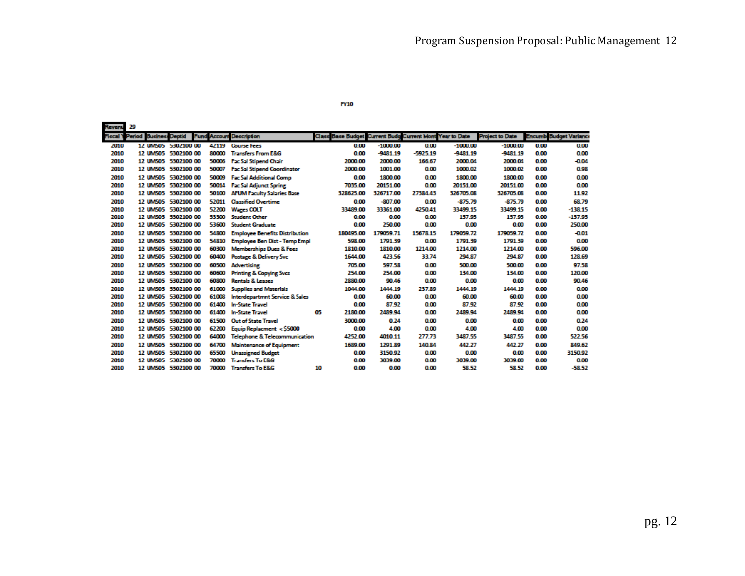| <b>Revenu</b>   | 29                  |  |       |                                                 |    |                          |                                        |            |            |                        |      |                               |
|-----------------|---------------------|--|-------|-------------------------------------------------|----|--------------------------|----------------------------------------|------------|------------|------------------------|------|-------------------------------|
| <b>Fiscal</b> Y | Period              |  |       | <b>Business Deptid Fund Account Description</b> |    | <b>Class Base Budget</b> | Current Budg Current Mont Year to Date |            |            | <b>Project to Date</b> |      | <b>Encumb Budget Variance</b> |
| 2010            | 12 UMS05 5302100 00 |  |       | 42119 Course Fees                               |    | 0.00                     | $-1000.00$                             | 0.00       | $-1000.00$ | $-1000.00$             | 0.00 | 0.00                          |
| 2010            | 12 UMS05 5302100 00 |  | 80000 | <b>Transfers From E&amp;G</b>                   |    | 0.00                     | $-9481.19$                             | $-5925.19$ | $-9481.19$ | $-9481.19$             | 0.00 | 0.00                          |
| 2010            | 12 UMS05 5302100 00 |  | 50006 | <b>Fac Sal Stipend Chair</b>                    |    | 2000.00                  | 2000.00                                | 166.67     | 2000.04    | 2000.04                | 0.00 | $-0.04$                       |
| 2010            | 12 UMS05 5302100 00 |  | 50007 | <b>Fac Sal Stipend Coordinator</b>              |    | 2000.00                  | 1001.00                                | 0.00       | 1000.02    | 1000.02                | 0.00 | 0.98                          |
| 2010            | 12 UMS05 5302100 00 |  | 50009 | <b>Fac Sal Additional Comp</b>                  |    | 0.00                     | 1800.00                                | 0.00       | 1800.00    | 1800.00                | 0.00 | 0.00                          |
| 2010            | 12 UMS05 5302100 00 |  | 50014 | <b>Fac Sal Adjunct Spring</b>                   |    | 7035.00                  | 20151.00                               | 0.00       | 20151.00   | 20151.00               | 0.00 | 0.00                          |
| 2010            | 12 UMS05 5302100 00 |  | 50100 | <b>AFUM Faculty Salaries Base</b>               |    | 328625.00                | 326717.00                              | 27384.43   | 326705.08  | 326705.08              | 0.00 | 11.92                         |
| 2010            | 12 UMS05 5302100 00 |  | 52011 | <b>Classified Overtime</b>                      |    | 0.00                     | $-807.00$                              | 0.00       | $-875.79$  | $-875.79$              | 0.00 | 68.79                         |
| 2010            | 12 UMS05 5302100 00 |  | 52200 | <b>Wages COLT</b>                               |    | 33489.00                 | 33361.00                               | 4250.41    | 33499.15   | 33499.15               | 0.00 | $-138.15$                     |
| 2010            | 12 UMS05 5302100 00 |  | 53300 | <b>Student Other</b>                            |    | 0.00                     | 0.00                                   | 0.00       | 157.95     | 157.95                 | 0.00 | $-157.95$                     |
| 2010            | 12 UMS05 5302100 00 |  | 53600 | <b>Student Graduate</b>                         |    | 0.00                     | 250.00                                 | 0.00       | 0.00       | 0.00                   | 0.00 | 250.00                        |
| 2010            | 12 UMS05 5302100 00 |  | 54800 | <b>Employee Benefits Distribution</b>           |    | 180495.00                | 179059.71                              | 15678.15   | 179059.72  | 179059.72              | 0.00 | $-0.01$                       |
| 2010            | 12 UMS05 5302100 00 |  | 54810 | <b>Employee Ben Dist - Temp Empl</b>            |    | 598.00                   | 1791.39                                | 0.00       | 1791.39    | 1791.39                | 0.00 | 0.00                          |
| 2010            | 12 UMS05 5302100 00 |  | 60300 | <b>Memberships Dues &amp; Fees</b>              |    | 1810.00                  | 1810.00                                | 1214.00    | 1214.00    | 1214.00                | 0.00 | 596.00                        |
| 2010            | 12 UMS05 5302100 00 |  | 60400 | <b>Postage &amp; Delivery Svc</b>               |    | 1644.00                  | 423.56                                 | 33.74      | 294.87     | 294.87                 | 0.00 | 128.69                        |
| 2010            | 12 UMS05 5302100 00 |  | 60500 | <b>Advertising</b>                              |    | 705.00                   | 597.58                                 | 0.00       | 500.00     | 500.00                 | 0.00 | 97.58                         |
| 2010            | 12 UMS05 5302100 00 |  | 60600 | <b>Printing &amp; Copying Svcs</b>              |    | 254.00                   | 254.00                                 | 0.00       | 134.00     | 134.00                 | 0.00 | 120.00                        |
| 2010            | 12 UMS05 5302100 00 |  | 60800 | <b>Rentals &amp; Leases</b>                     |    | 2880.00                  | 90.46                                  | 0.00       | 0.00       | 0.00                   | 0.00 | 90.46                         |
| 2010            | 12 UMS05 5302100 00 |  | 61000 | <b>Supplies and Materials</b>                   |    | 1044.00                  | 1444.19                                | 237.89     | 1444.19    | 1444.19                | 0.00 | 0.00                          |
| 2010            | 12 UMS05 5302100 00 |  | 61008 | Interdepartmnt Service & Sales                  |    | 0.00                     | 60.00                                  | 0.00       | 60.00      | 60.00                  | 0.00 | 0.00                          |
| 2010            | 12 UMS05 5302100 00 |  | 61400 | In-State Travel                                 |    | 0.00                     | 87.92                                  | 0.00       | 87.92      | 87.92                  | 0.00 | 0.00                          |
| 2010            | 12 UMS05 5302100 00 |  | 61400 | In-State Travel                                 | 05 | 2180.00                  | 2489.94                                | 0.00       | 2489.94    | 2489.94                | 0.00 | 0.00                          |
| 2010            | 12 UMS05 5302100 00 |  | 61500 | <b>Out of State Travel</b>                      |    | 3000.00                  | 0.24                                   | 0.00       | 0.00       | 0.00                   | 0.00 | 0.24                          |
| 2010            | 12 UMS05 5302100 00 |  | 62200 | Equip Replacment < \$5000                       |    | 0.00                     | 4.00                                   | 0.00       | 4.00       | 4.00                   | 0.00 | 0.00                          |
| 2010            | 12 UMS05 5302100 00 |  | 64000 | <b>Telephone &amp; Telecommunication</b>        |    | 4252.00                  | 4010.11                                | 277.73     | 3487.55    | 3487.55                | 0.00 | 522.56                        |
| 2010            | 12 UMS05 5302100 00 |  | 64700 | <b>Maintenance of Equipment</b>                 |    | 1689.00                  | 1291.89                                | 140.84     | 442.27     | 442.27                 | 0.00 | 849.62                        |
| 2010            | 12 UMS05 5302100 00 |  | 65500 | <b>Unassigned Budget</b>                        |    | 0.00                     | 3150.92                                | 0.00       | 0.00       | 0.00                   | 0.00 | 3150.92                       |
| 2010            | 12 UMS05 5302100 00 |  | 70000 | <b>Transfers To E&amp;G</b>                     |    | 0.00                     | 3039.00                                | 0.00       | 3039.00    | 3039.00                | 0.00 | 0.00                          |
| 2010            | 12 UMS05 5302100 00 |  | 70000 | <b>Transfers To E&amp;G</b>                     | 10 | 0.00                     | 0.00                                   | 0.00       | 58.52      | 58.52                  | 0.00 | $-58.52$                      |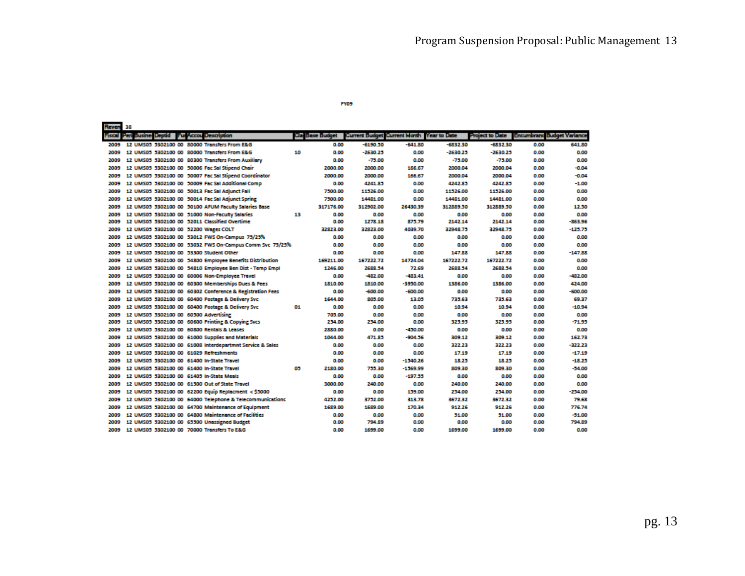$\overline{\phantom{a}}$ 

| <b>Neven 38</b> |      |                |  |                                                          |    |                  |                                                  |            |            |                        |      |                                   |
|-----------------|------|----------------|--|----------------------------------------------------------|----|------------------|--------------------------------------------------|------------|------------|------------------------|------|-----------------------------------|
| <b>FISCA</b>    | Peri | Busine: Deptid |  | <b>FurAccou Description</b>                              |    | Cla: Base Budget | <b>Current Budget Current Month Year to Date</b> |            |            | <b>Project to Date</b> |      | <b>Encumbrand Budget Variance</b> |
| 2009            |      |                |  | 12 UMS05 5302100 00 80000 Transfers From E&G             |    | 0.00             | $-6190.50$                                       | $-641.80$  | -6832.30   | $-6832.30$             | 0.00 | 641.80                            |
| 2009            |      |                |  | 12 UMS03 5302100 00 80000 Transfers From E&G             | 10 | 0.00             | $-2630.25$                                       | 0.00       | $-2630.25$ | $-2630.25$             | 0.00 | 0.00                              |
| 2009            |      |                |  | 12 UMS03 3302100 00 80300 Transfers From Auxiliary       |    | 0.00             | $-75.00$                                         | 0.00       | $-75.00$   | $-75.00$               | 0.00 | 0.00                              |
| 2009            |      |                |  | 12 UMS03 3302100 00 50006 Fac Sal Stipend Chair          |    | 2000.00          | 2000.00                                          | 166.67     | 2000.04    | 2000.04                | 0.00 | $-0.04$                           |
| 2009            |      |                |  | 12 UMS05 5302100 00 50007 Fac Sal Stipend Coordinator    |    | 2000.00          | 2000.00                                          | 166,67     | 2000.04    | 2000.04                | 0.00 | $-0.04$                           |
| 2009            |      |                |  | 12 UMS05 5302100 00 50009 Fac Sal Additional Comp        |    | 0.00             | 4241.85                                          | 0.00       | 4242.85    | 4242.85                | 0.00 | $-1.00$                           |
| 2009            |      |                |  | 12 UMS03 3302100 00 50013 Fac Sal Adjunct Fall           |    | 7500.00          | 11526.00                                         | 0.00       | 11526.00   | 11526.00               | 0.00 | 0.00                              |
| 2009            |      |                |  | 12 UMS03 3302100 00 50014 Fac Sal Adjunct Spring         |    | 7500.00          | 14481.00                                         | 0.00       | 14481.00   | 14481.00               | 0.00 | 0.00                              |
| 2009            |      |                |  | 12 UMS05 5302100 00 50100 AFUM Faculty Salaries Base     |    | 317176.00        | 312902.00                                        | 26430.39   | 312889.50  | 312889.50              | 0.00 | 12.50                             |
| 2009            |      |                |  | 12 UMS05 5302100 00 51000 Non-Faculty Salaries           | 13 | 0.00             | 0.00                                             | 0.00       | 0.00       | 0.00                   | 0.00 | 0.00                              |
| 2009            |      |                |  | 12 UMS05 5302100 00 52011 Classified Overtime            |    | 0.00             | 1278.18                                          | 875.79     | 2142.14    | 2142.14                | 0.00 | $-863.96$                         |
| 2009            |      |                |  | 12 UMS05 5302100 00 52200 Wages COLT                     |    | 32823.00         | 32823.00                                         | 4039.70    | 32948.75   | 32948.75               | 0.00 | $-125.75$                         |
| 2009            |      |                |  | 12 UMS05 5302100 00 53012 FWS On-Campus 75/25%           |    | 0.00             | 0.00                                             | 0.00       | 0.00       | 0.00                   | 0.00 | 0.00                              |
| 2009            |      |                |  | 12 UMS05 5302100 00 53032 FWS On-Campus Comm Svc 75/25%  |    | 0.00             | 0.00                                             | 0.00       | 0.00       | 0.00                   | 0.00 | 0.00                              |
| 2009            |      |                |  | 12 UMS05 5302100 00 53300 Student Other                  |    | 0.00             | 0.00                                             | 0.00       | 147.88     | 147.88                 | 0.00 | $-147.88$                         |
| 2009            |      |                |  | 12 UMS03 3302100 00 54800 Employee Benefits Distribution |    | 169211.00        | 167222.72                                        | 14724.04   | 167222.72  | 167222.72              | 0.00 | 0.00                              |
| 2009            |      |                |  | 12 UMS05 5302100 00 54810 Employee Ben Dist - Temp Empl  |    | 1246.00          | 2688.34                                          | 72.69      | 2688.54    | 2688.54                | 0.00 | 0.00                              |
| 2009            |      |                |  | 12 UMS05 5302100 00 60006 Non-Employee Travel            |    | 0.00             | $-482.00$                                        | $-483.41$  | 0.00       | 0.00                   | 0.00 | $-482.00$                         |
| 2009            |      |                |  | 12 UMS05 5302100 00 60300 Memberships Dues & Fees        |    | 1810.00          | 1810.00                                          | -3950.00   | 1386.00    | 1386.00                | 0.00 | 424.00                            |
| 2009            |      |                |  | 12 UMS03 3302100 00 60302 Conference & Registration Fees |    | 0.00             | -600.00                                          | -600.00    | 0.00       | 0.00                   | 0.00 | -600.00                           |
| 2009            |      |                |  | 12 UMS05 5302100 00 60400 Postage & Delivery Svc         |    | 1644.00          | 805.00                                           | 13.05      | 733.63     | 733.63                 | 0.00 | 69.37                             |
| 2009            |      |                |  | 12 UMS03 3302100 00 60400 Postage & Delivery Svc         | 01 | 0.00             | 0.00                                             | 0.00       | 10.94      | 10.94                  | 0.00 | $-10.94$                          |
| 2009            |      |                |  | 12 UMS05 5302100 00 60500 Advertising                    |    | 705.00           | 0.00                                             | 0.00       | 0.00       | 0.00                   | 0.00 | 0.00                              |
| 2009            |      |                |  | 12 UMS05 5302100 00 60600 Printing & Copying Svcs        |    | 234.00           | 254.00                                           | 0.00       | 323.95     | 323.95                 | 0.00 | $-71.95$                          |
| 2009            |      |                |  | 12 UMS03 5302100 00 60800 Rentals & Leases               |    | 2880.00          | 0.00                                             | $-450.00$  | 0.00       | 0.00                   | 0.00 | 0.00                              |
| 2009            |      |                |  | 12 UMS03 3302100 00 61000 Supplies and Materials         |    | 1044.00          | 471.85                                           | -904.56    | 309.12     | 309.12                 | 0.00 | 162.73                            |
| 2009            |      |                |  | 12 UMS03 3302100 00 61008 Interdepartmnt Service & Sales |    | 0.00             | 0.00                                             | 0.00       | 322.23     | 322.23                 | 0.00 | $-322.23$                         |
| 2009            |      |                |  | 12 UMS03 3302100 00 61029 Refreshments                   |    | 0.00             | 0.00                                             | 0.00       | 17.19      | 17.19                  | 0.00 | $-17.19$                          |
| 2009            |      |                |  | 12 UMS03 3302100 00 61400 in-State Travel                |    | 0.00             | 0.00                                             | $-1540.26$ | 18.25      | 18.25                  | 0.00 | $-18.25$                          |
| 2009            |      |                |  | 12 UMS03 3302100 00 61400 in-State Travel                | 05 | 2180.00          | 755.30                                           | $-1569.99$ | 809.30     | 809.30                 | 0.00 | $-34.00$                          |
| 2009            |      |                |  | 12 UMS05 5302100 00 61405 In-State Meals                 |    | 0.00             | 0.00                                             | $-197.55$  | 0.00       | 0.00                   | 0.00 | 0.00                              |
| 2009            |      |                |  | 12 UMS05 5302100 00 61500 Out of State Travel            |    | 3000.00          | 240.00                                           | 0.00       | 240.00     | 240.00                 | 0.00 | 0.00                              |
| 2009            |      |                |  | 12 UMS05 5302100 00 62200 Equip Replacment < \$5000      |    | 0.00             | 0.00                                             | 159.00     | 254.00     | 254.00                 | 0.00 | $-254.00$                         |
| 2009            |      |                |  | 12 UMS05 5302100 00 64000 Telephone & Telecommunications |    | 4252.00          | 3752.00                                          | 313.78     | 3672.32    | 3672.32                | 0.00 | 79.68                             |
| 2009            |      |                |  | 12 UMS05 5302100 00 64700 Maintenance of Equipment       |    | 1689.00          | 1689.00                                          | 170.34     | 912.26     | 912.26                 | 0.00 | 776.74                            |
| 2009            |      |                |  | 12 UMS05 5302100 00 64800 Maintenance of Facilities      |    | 0.00             | 0.00                                             | 0.00       | 51.00      | 51.00                  | 0.00 | $-31.00$                          |
| 2009            |      |                |  | 12 UMS05 5302100 00 65500 Unassigned Budget              |    | 0.00             | 794.89                                           | 0.00       | 0.00       | 0.00                   | 0.00 | 794.89                            |
| 2009            |      |                |  | 12 UMS03 3302100 00 70000 Transfers To E&G               |    | 0.00             | 1699.00                                          | 0.00       | 1699.00    | 1699.00                | 0.00 | 0.00                              |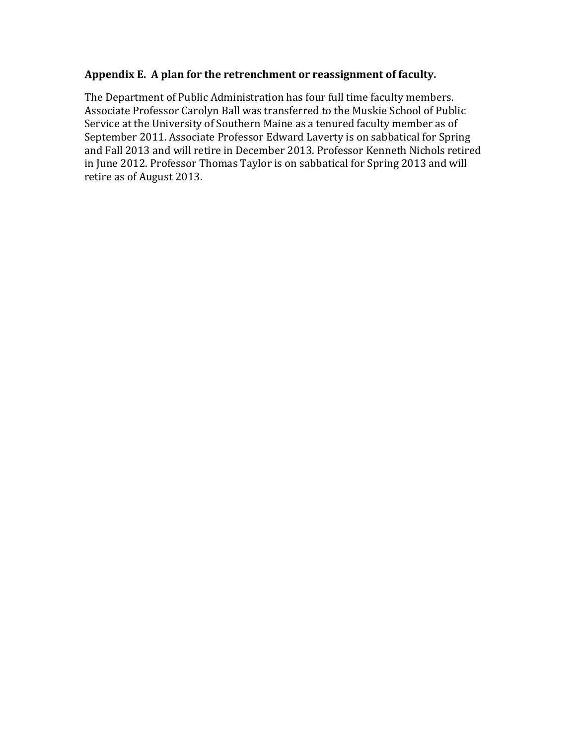### **Appendix E. A plan for the retrenchment or reassignment of faculty.**

The Department of Public Administration has four full time faculty members. Associate Professor Carolyn Ball was transferred to the Muskie School of Public Service at the University of Southern Maine as a tenured faculty member as of September 2011. Associate Professor Edward Laverty is on sabbatical for Spring and Fall 2013 and will retire in December 2013. Professor Kenneth Nichols retired in June 2012. Professor Thomas Taylor is on sabbatical for Spring 2013 and will retire as of August 2013.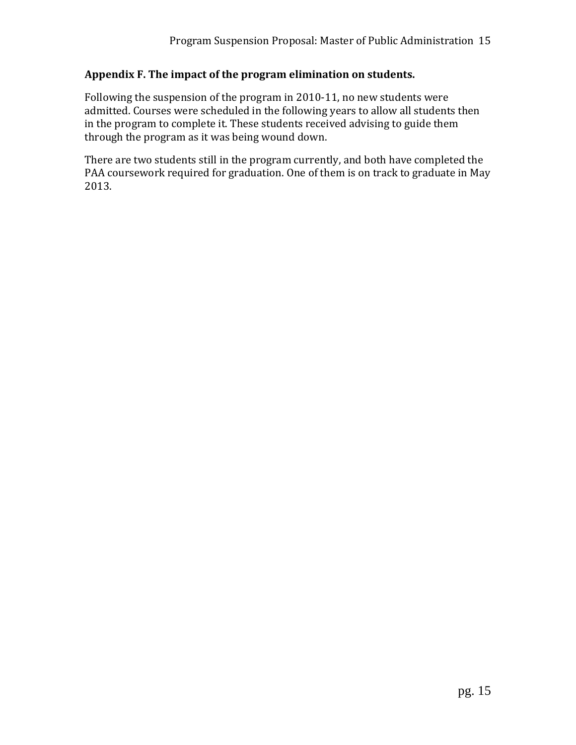### **Appendix F. The impact of the program elimination on students.**

Following the suspension of the program in 2010-11, no new students were admitted. Courses were scheduled in the following years to allow all students then in the program to complete it. These students received advising to guide them through the program as it was being wound down.

There are two students still in the program currently, and both have completed the PAA coursework required for graduation. One of them is on track to graduate in May 2013.